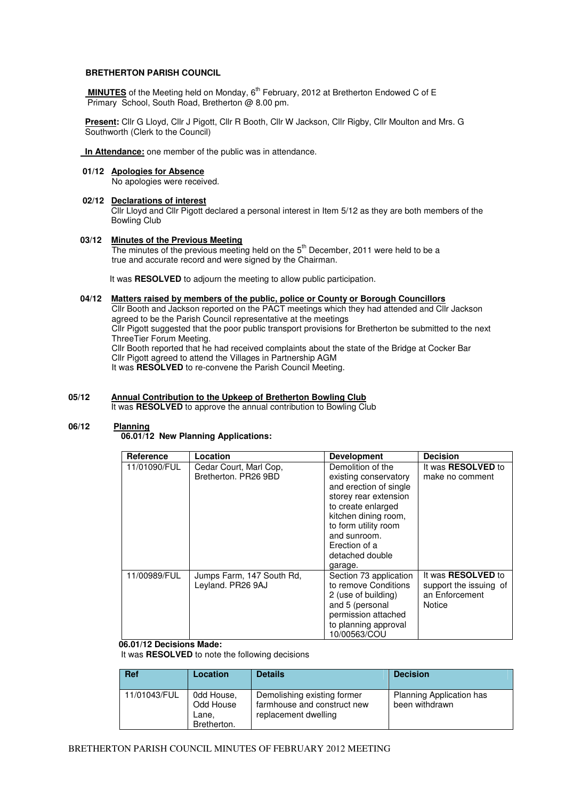### **BRETHERTON PARISH COUNCIL**

**MINUTES** of the Meeting held on Monday, 6<sup>th</sup> February, 2012 at Bretherton Endowed C of E Primary School, South Road, Bretherton @ 8.00 pm.

 **Present:** Cllr G Lloyd, Cllr J Pigott, Cllr R Booth, Cllr W Jackson, Cllr Rigby, Cllr Moulton and Mrs. G Southworth (Clerk to the Council)

 **In Attendance:** one member of the public was in attendance.

# **01/12 Apologies for Absence**

No apologies were received.

### **02/12 Declarations of interest**

Cllr Lloyd and Cllr Pigott declared a personal interest in Item 5/12 as they are both members of the Bowling Club

### **03/12 Minutes of the Previous Meeting**

The minutes of the previous meeting held on the 5<sup>th</sup> December, 2011 were held to be a true and accurate record and were signed by the Chairman.

It was **RESOLVED** to adjourn the meeting to allow public participation.

### **04/12 Matters raised by members of the public, police or County or Borough Councillors**

 Cllr Booth and Jackson reported on the PACT meetings which they had attended and Cllr Jackson agreed to be the Parish Council representative at the meetings Cllr Pigott suggested that the poor public transport provisions for Bretherton be submitted to the next ThreeTier Forum Meeting. Cllr Booth reported that he had received complaints about the state of the Bridge at Cocker Bar Cllr Pigott agreed to attend the Villages in Partnership AGM It was **RESOLVED** to re-convene the Parish Council Meeting.

**05/12 Annual Contribution to the Upkeep of Bretherton Bowling Club**

It was **RESOLVED** to approve the annual contribution to Bowling Club

### **06/12 Planning**

 **06.01/12 New Planning Applications:** 

| Reference    | Location                                       | <b>Development</b>                                                                                                                                                                                                                 | <b>Decision</b>                                                                        |
|--------------|------------------------------------------------|------------------------------------------------------------------------------------------------------------------------------------------------------------------------------------------------------------------------------------|----------------------------------------------------------------------------------------|
| 11/01090/FUL | Cedar Court, Marl Cop,<br>Bretherton, PR26 9BD | Demolition of the<br>existing conservatory<br>and erection of single<br>storey rear extension<br>to create enlarged<br>kitchen dining room,<br>to form utility room<br>and sunroom.<br>Erection of a<br>detached double<br>garage. | It was <b>RESOLVED</b> to<br>make no comment                                           |
| 11/00989/FUL | Jumps Farm, 147 South Rd,<br>Leyland. PR26 9AJ | Section 73 application<br>to remove Conditions<br>2 (use of building)<br>and 5 (personal<br>permission attached<br>to planning approval<br>10/00563/COU                                                                            | It was <b>RESOLVED</b> to<br>support the issuing of<br>an Enforcement<br><b>Notice</b> |

### **06.01/12 Decisions Made:**

It was **RESOLVED** to note the following decisions

| <b>Ref</b>   | <b>Location</b>                                 | <b>Details</b>                                                                     | <b>Decision</b>                            |
|--------------|-------------------------------------------------|------------------------------------------------------------------------------------|--------------------------------------------|
| 11/01043/FUL | 0dd House,<br>Odd House<br>Lane.<br>Bretherton. | Demolishing existing former<br>farmhouse and construct new<br>replacement dwelling | Planning Application has<br>been withdrawn |